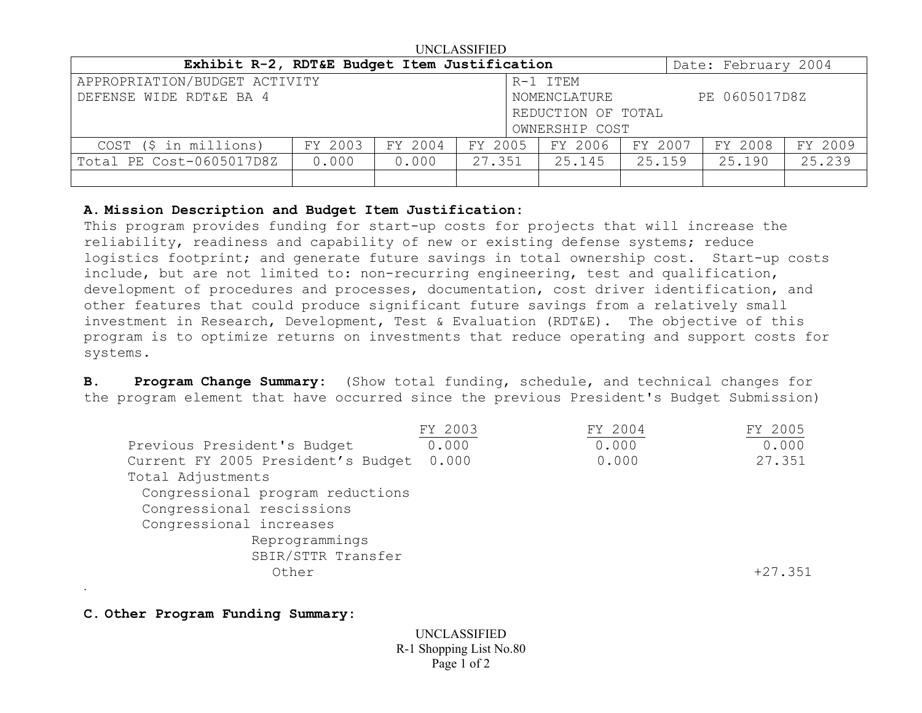| UNCLASSIFIED                                 |                    |                               |         |         |         |                     |         |  |  |
|----------------------------------------------|--------------------|-------------------------------|---------|---------|---------|---------------------|---------|--|--|
| Exhibit R-2, RDT&E Budget Item Justification |                    |                               |         |         |         | Date: February 2004 |         |  |  |
| APPROPRIATION/BUDGET ACTIVITY<br>R-1 ITEM    |                    |                               |         |         |         |                     |         |  |  |
| DEFENSE WIDE RDT&E BA 4                      |                    | PE 0605017D8Z<br>NOMENCLATURE |         |         |         |                     |         |  |  |
|                                              | REDUCTION OF TOTAL |                               |         |         |         |                     |         |  |  |
| OWNERSHIP COST                               |                    |                               |         |         |         |                     |         |  |  |
| COST (\$ in millions)                        | FY 2003            | FY 2004                       | FY 2005 | FY 2006 | FY 2007 | FY 2008             | FY 2009 |  |  |
| Total PE Cost-0605017D8Z                     | 0.000              | 0.000                         | 27.351  | 25.145  | 25.159  | 25.190              | 25.239  |  |  |
|                                              |                    |                               |         |         |         |                     |         |  |  |

## **A. Mission Description and Budget Item Justification:**

This program provides funding for start-up costs for projects that will increase the reliability, readiness and capability of new or existing defense systems; reduce logistics footprint; and generate future savings in total ownership cost. Start-up costs include, but are not limited to: non-recurring engineering, test and qualification, development of procedures and processes, documentation, cost driver identification, and other features that could produce significant future savings from a relatively small investment in Research, Development, Test & Evaluation (RDT&E). The objective of this program is to optimize returns on investments that reduce operating and support costs for systems.

**B. Program Change Summary:** (Show total funding, schedule, and technical changes for the program element that have occurred since the previous President's Budget Submission)

|                                    | FY 2003 | FY 2004 | FY 2005 |
|------------------------------------|---------|---------|---------|
| Previous President's Budget        | 0.000   | 0.000   | 0.000   |
| Current FY 2005 President's Budget | 0.000   | 0.000   | 27.351  |
| Total Adjustments                  |         |         |         |
| Congressional program reductions   |         |         |         |
| Congressional rescissions          |         |         |         |
| Congressional increases            |         |         |         |
| Reprogrammings                     |         |         |         |
| SBIR/STTR Transfer                 |         |         |         |
| Other                              |         |         | +27.351 |
|                                    |         |         |         |

**C. Other Program Funding Summary:**

.